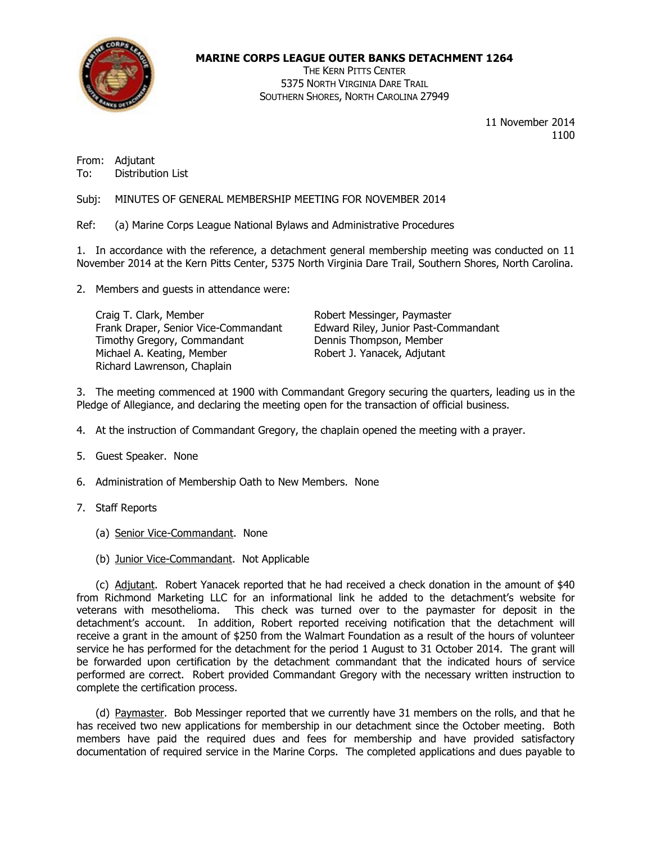

## MARINE CORPS LEAGUE OUTER BANKS DETACHMENT 1264

THE KERN PITTS CENTER 5375 NORTH VIRGINIA DARE TRAIL SOUTHERN SHORES, NORTH CAROLINA 27949

> 11 November 2014 1100

From: Adjutant To: Distribution List

Subj: MINUTES OF GENERAL MEMBERSHIP MEETING FOR NOVEMBER 2014

Ref: (a) Marine Corps League National Bylaws and Administrative Procedures

1. In accordance with the reference, a detachment general membership meeting was conducted on 11 November 2014 at the Kern Pitts Center, 5375 North Virginia Dare Trail, Southern Shores, North Carolina.

2. Members and guests in attendance were:

Craig T. Clark, Member **Craig T. Clark, Member** Robert Messinger, Paymaster<br>Frank Draper, Senior Vice-Commandant Edward Riley, Junior Past-Commandant Frank Draper, Senior Vice-Commandant Edward Riley, Junior Past-Commandant Edward Riley, Junior Past-Commandant Timothy Gregory, Commandant Michael A. Keating, Member Robert J. Yanacek, Adjutant Richard Lawrenson, Chaplain

3. The meeting commenced at 1900 with Commandant Gregory securing the quarters, leading us in the Pledge of Allegiance, and declaring the meeting open for the transaction of official business.

- 4. At the instruction of Commandant Gregory, the chaplain opened the meeting with a prayer.
- 5. Guest Speaker. None
- 6. Administration of Membership Oath to New Members. None
- 7. Staff Reports
	- (a) Senior Vice-Commandant. None
	- (b) Junior Vice-Commandant. Not Applicable

 (c) Adjutant. Robert Yanacek reported that he had received a check donation in the amount of \$40 from Richmond Marketing LLC for an informational link he added to the detachment's website for veterans with mesothelioma. This check was turned over to the paymaster for deposit in the detachment's account. In addition, Robert reported receiving notification that the detachment will receive a grant in the amount of \$250 from the Walmart Foundation as a result of the hours of volunteer service he has performed for the detachment for the period 1 August to 31 October 2014. The grant will be forwarded upon certification by the detachment commandant that the indicated hours of service performed are correct. Robert provided Commandant Gregory with the necessary written instruction to complete the certification process.

 (d) Paymaster. Bob Messinger reported that we currently have 31 members on the rolls, and that he has received two new applications for membership in our detachment since the October meeting. Both members have paid the required dues and fees for membership and have provided satisfactory documentation of required service in the Marine Corps. The completed applications and dues payable to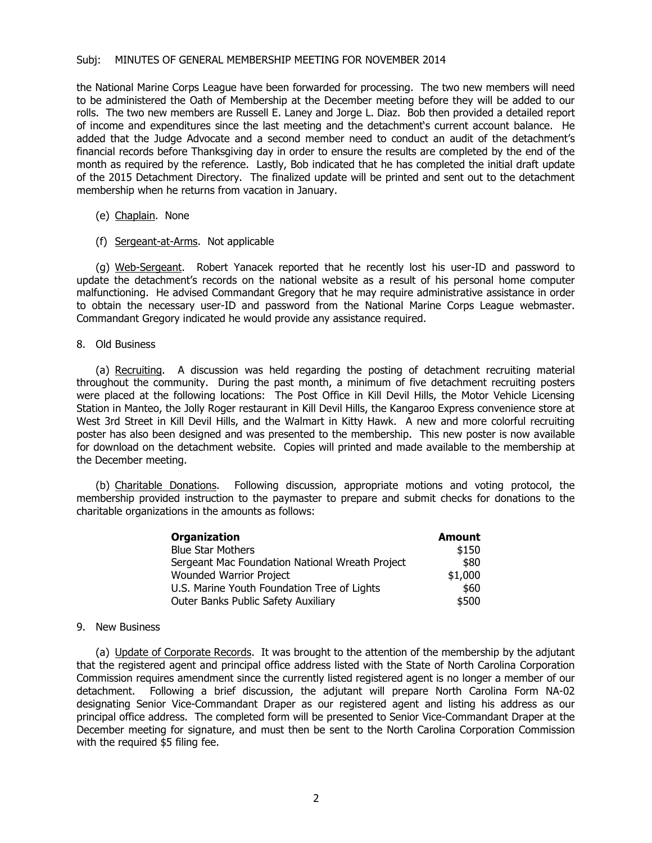## Subj: MINUTES OF GENERAL MEMBERSHIP MEETING FOR NOVEMBER 2014

the National Marine Corps League have been forwarded for processing. The two new members will need to be administered the Oath of Membership at the December meeting before they will be added to our rolls. The two new members are Russell E. Laney and Jorge L. Diaz. Bob then provided a detailed report of income and expenditures since the last meeting and the detachment's current account balance. He added that the Judge Advocate and a second member need to conduct an audit of the detachment's financial records before Thanksgiving day in order to ensure the results are completed by the end of the month as required by the reference. Lastly, Bob indicated that he has completed the initial draft update of the 2015 Detachment Directory. The finalized update will be printed and sent out to the detachment membership when he returns from vacation in January.

- (e) Chaplain. None
- (f) Sergeant-at-Arms. Not applicable

(g) Web-Sergeant. Robert Yanacek reported that he recently lost his user-ID and password to update the detachment's records on the national website as a result of his personal home computer malfunctioning. He advised Commandant Gregory that he may require administrative assistance in order to obtain the necessary user-ID and password from the National Marine Corps League webmaster. Commandant Gregory indicated he would provide any assistance required.

8. Old Business

 (a) Recruiting. A discussion was held regarding the posting of detachment recruiting material throughout the community. During the past month, a minimum of five detachment recruiting posters were placed at the following locations: The Post Office in Kill Devil Hills, the Motor Vehicle Licensing Station in Manteo, the Jolly Roger restaurant in Kill Devil Hills, the Kangaroo Express convenience store at West 3rd Street in Kill Devil Hills, and the Walmart in Kitty Hawk. A new and more colorful recruiting poster has also been designed and was presented to the membership. This new poster is now available for download on the detachment website. Copies will printed and made available to the membership at the December meeting.

 (b) Charitable Donations. Following discussion, appropriate motions and voting protocol, the membership provided instruction to the paymaster to prepare and submit checks for donations to the charitable organizations in the amounts as follows:

| <b>Organization</b>                             | <b>Amount</b> |
|-------------------------------------------------|---------------|
| <b>Blue Star Mothers</b>                        | \$150         |
| Sergeant Mac Foundation National Wreath Project | \$80          |
| <b>Wounded Warrior Project</b>                  | \$1,000       |
| U.S. Marine Youth Foundation Tree of Lights     | \$60          |
| Outer Banks Public Safety Auxiliary             | \$500         |

## 9. New Business

 (a) Update of Corporate Records. It was brought to the attention of the membership by the adjutant that the registered agent and principal office address listed with the State of North Carolina Corporation Commission requires amendment since the currently listed registered agent is no longer a member of our detachment. Following a brief discussion, the adjutant will prepare North Carolina Form NA-02 designating Senior Vice-Commandant Draper as our registered agent and listing his address as our principal office address. The completed form will be presented to Senior Vice-Commandant Draper at the December meeting for signature, and must then be sent to the North Carolina Corporation Commission with the required \$5 filing fee.